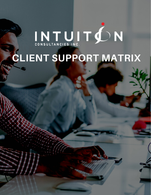# INTUITÓN

# **CLIENT SUPPORT MATRIX**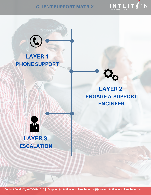

#### **CLIENT SUPPORT MATRIX**

## **LAYER 1 PHONE SUPPORT**



### **LAYER 2 ENGAGE A SUPPORT ENGINEER**



**LAYER 3 ESCALATION**

**Contact Details: 647-847-1515 support@intuitionconsultanciesinc.ca www.intuitionconsultanciesinc.ca**